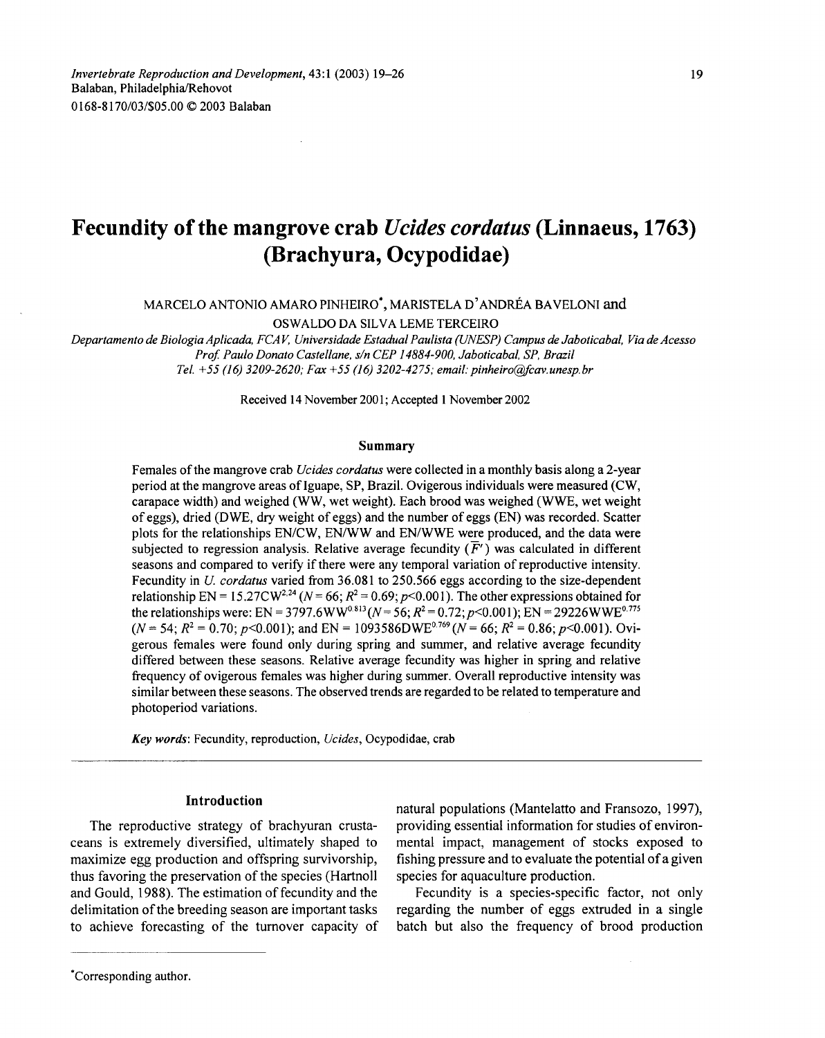# **Fecundity** ofthe **mangrove crab** *Ucides cordatus* **(Linnaeus, 1763) (Brachyura, Ocypodidae)**

MARCELO ANTONIO AMARO PINHEIRO', MARISTELA D'ANDREA BAVELONI and

OSWALDO DA SILVA LEME TERCEIRO

*Departamento de Biologia Aplicada, FCA* V. *Universidade Estadual Paulista rUNESP) Campus de Jaboticabal, Via de Acesso Prof Paulo Donato Castellane, sin CEP 14884-900, Jaboticabal, SP, Brazil Tel.* +55 (/6) *3209-2620; Fax* +55 (/6) *3202-4275; email:pinheiro@fcav.unesp.br*

Received 14 November 2001; Accepted 1 November 2002

#### Summary

Females ofthe mangrove crab *Ucides cordatus* were collected in a monthly basis along a 2-year period at the mangrove areas ofIguape, SP, Brazil. Ovigerous individuals were measured (CW, carapace width) and weighed (WW, wet weight). Each brood was weighed (WWE, wet weight of eggs), dried (DWE, dry weight of eggs) and the number of eggs (EN) was recorded. Scatter plots for the relationships EN/CW, EN/WW and EN/WWE were produced, and the data were subjected to regression analysis. Relative average fecundity  $(F')$  was calculated in different seasons and compared to verify if there were any temporal variation of reproductive intensity. Fecundity in *U cordatus* varied from 36.081 to 250.566 eggs according to the size-dependent relationship EN = 15.27CW<sup>2,24</sup> ( $N = 66$ ;  $R^2 = 0.69$ ;  $p < 0.001$ ). The other expressions obtained for the relationships were: EN = 3797.6WW<sup>0.813</sup> ( $N = 56$ ;  $R^2 = 0.72$ ;  $p < 0.001$ ); EN = 29226WWE<sup>0.775</sup>  $(N=54; R^2 = 0.70; p<0.001)$ ; and EN = 1093586DWE<sup>0.769</sup>  $(N=66; R^2 = 0.86; p<0.001)$ . Ovigerous females were found only during spring and summer, and relative average fecundity differed between these seasons. Relative average fecundity was higher in spring and relative frequency of ovigerous females was higher during summer. Overall reproductive intensity was similar between these seasons. The observed trends are regarded to be related to temperature and photoperiod variations.

*Key words:* Fecundity, reproduction, *Ucides,* Ocypodidae, crab

## **Introduction**

The reproductive strategy of brachyuran crustaceans is extremely diversified, ultimately shaped to maximize egg production and offspring survivorship, thus favoring the preservation of the species (Hartnoll and Gould, 1988). The estimation of fecundity and the delimitation of the breeding season are important tasks to achieve forecasting of the turnover capacity of

natural populations (Mantelatto and Fransozo, 1997), providing essential information for studies of environmental impact, management of stocks exposed to fishing pressure and to evaluate the potential of a given species for aquaculture production.

Fecundity is a species-specific factor, not only regarding the number of eggs extruded in a single batch but also the frequency of brood production

## 'Corresponding author.

<sup>19</sup>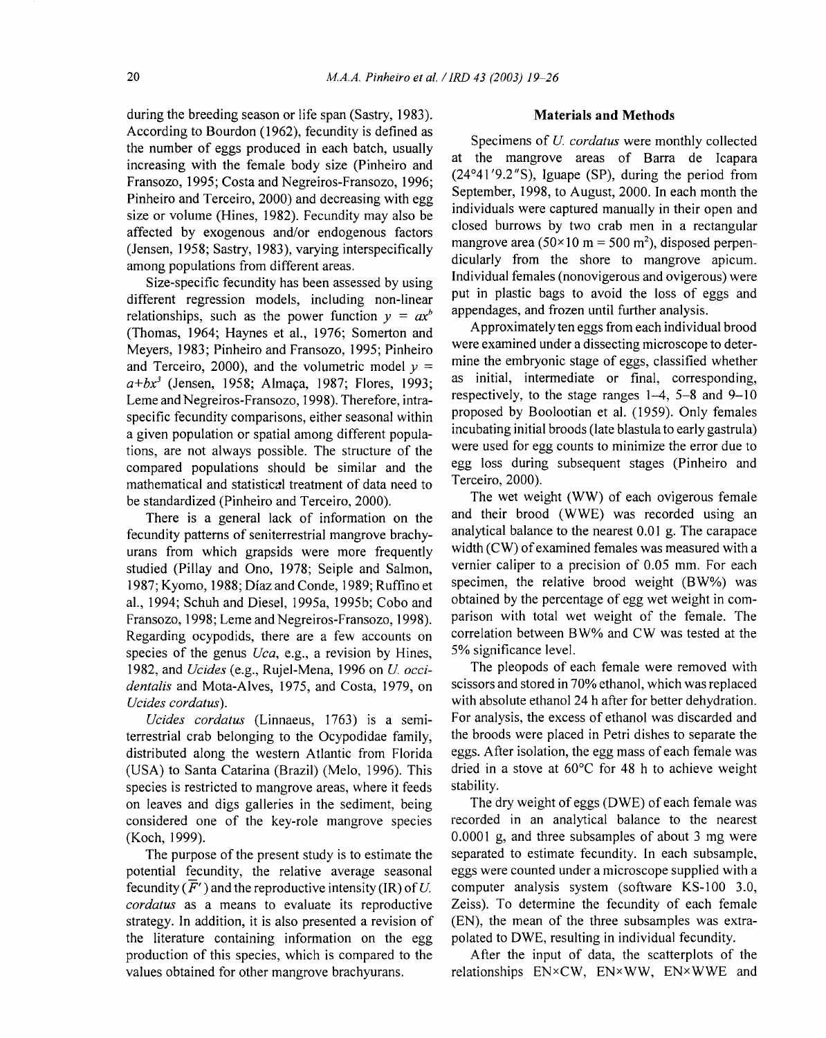during the breeding season or life span (Sastry, 1983). According to Bourdon (1962), fecundity is defined as the number of eggs produced in each batch, usually increasing with the female body size (Pinheiro and Fransozo, 1995; Costa and Negreiros-Fransozo, 1996; Pinheiro and Terceiro, 2000) and decreasing with egg size or volume (Hines, 1982). Fecundity may also be affected by exogenous and/or endogenous factors (Jensen, 1958; Sastry, 1983), varying interspecifically among populations from different areas.

Size-specific fecundity has been assessed by using different regression models, including non-linear relationships, such as the power function  $y = ax^b$ (Thomas, 1964; Haynes et aI., 1976; Somerton and Meyers, 1983; Pinheiro and Fransozo, 1995; Pinheiro and Terceiro, 2000), and the volumetric model  $y =$ *a+bx<sup>3</sup>* (Jensen, 1958; Almaça, 1987; Flores, 1993; Leme and Negreiros-Fransozo, 1998). Therefore, intraspecific fecundity comparisons, either seasonal within a given population or spatial among different populations, are not always possible. The structure of the compared populations should be similar and the mathematical and statistical treatment of data need to be standardized (Pinheiro and Terceiro, 2000).

There is a general lack of information on the fecundity patterns of seniterrestrial mangrove brachyurans from which grapsids were more frequently studied (Pillay and Ono, 1978; Seiple and Salmon, 1987; Kyomo, 1988; Dfaz and Conde, 1989; Ruffino et aI., 1994; Schuh and Diesel, 1995a, 1995b; Cobo and Fransozo, 1998; Leme and Negreiros-Fransozo, 1998). Regarding ocypodids, there are a few accounts on species of the genus *Uca,* e.g., a revision by Hines, 1982, and *Ucides* (e.g., Rujel-Mena, 1996 on *U. occidentalis* and Mota-Alves, 1975, and Costa, 1979, on *Ucides cordatus).*

*Ucides cordatus* (Linnaeus, 1763) is a semiterrestrial crab belonging to the Ocypodidae family, distributed along the western Atlantic from Florida (USA) to Santa Catarina (Brazil) (Melo, 1996). This species is restricted to mangrove areas, where it feeds on leaves and digs galleries in the sediment, being considered one of the key-role mangrove species (Koch, 1999).

The purpose of the present study is to estimate the potential fecundity, the relative average seasonal fecundity  $(\overline{F}')$  and the reproductive intensity (IR) of U. *cordatus* as a means to evaluate its reproductive strategy. In addition, it is also presented a revision of the literature containing information on the egg production of this species, which is compared to the values obtained for other mangrove brachyurans.

## **Materials and Methods**

Specimens of *U. cordatus* were monthly collected at the mangrove areas of Barra de Icapara (24°41 '9.2"S), Iguape (SP), during the period from September, 1998, to August, 2000. In each month the individuals were captured manually in their open and closed burrows by two crab men in a rectangular mangrove area  $(50 \times 10 \text{ m} = 500 \text{ m}^2)$ , disposed perpendicularly from the shore to mangrove apicum. Individual females (nonovigerous and ovigerous) were put in plastic bags to avoid the loss of eggs and appendages, and frozen until further analysis.

Approximately ten eggs from each individual brood were examined under a dissecting microscope to determine the embryonic stage of eggs, classified whether as initial, intermediate or final, corresponding, respectively, to the stage ranges 1-4, 5-8 and 9-10 proposed by Boolootian et al. (1959). Only females incubating initial broods (late blastula to early gastrula) were used for egg counts to minimize the error due to egg loss during subsequent stages (Pinheiro and Terceiro, 2000).

The wet weight (WW) of each ovigerous female and their brood (WWE) was recorded using an analytical balance to the nearest 0.01 g. The carapace width (CW) of examined females was measured with a vernier caliper to a precision of 0.05 mm. For each specimen, the relative brood weight (BW%) was obtained by the percentage of egg wet weight in comparison with total wet weight of the female. The correlation between SW% and CW was tested at the 5% significance level.

The pleopods of each female were removed with scissors and stored in 70% ethanol, which was replaced with absolute ethanol 24 h after for better dehydration. For analysis, the excess of ethanol was discarded and the broods were placed in Petri dishes to separate the eggs. After isolation, the egg mass of each female was dried in a stove at 60°C for 48 h to achieve weight stability.

The dry weight of eggs (DWE) of each female was recorded in an analytical balance to the nearest 0.0001 g, and three subsamples of about 3 mg were separated to estimate fecundity. In each subsample, eggs were counted under a microscope supplied with a computer analysis system (software KS-lOO 3.0, Zeiss). To determine the fecundity of each female (EN), the mean of the three subsamples was extrapolated to DWE, resulting in individual fecundity.

After the input of data, the scatterplots of the relationships EN×CW, EN×WW, EN×WWE and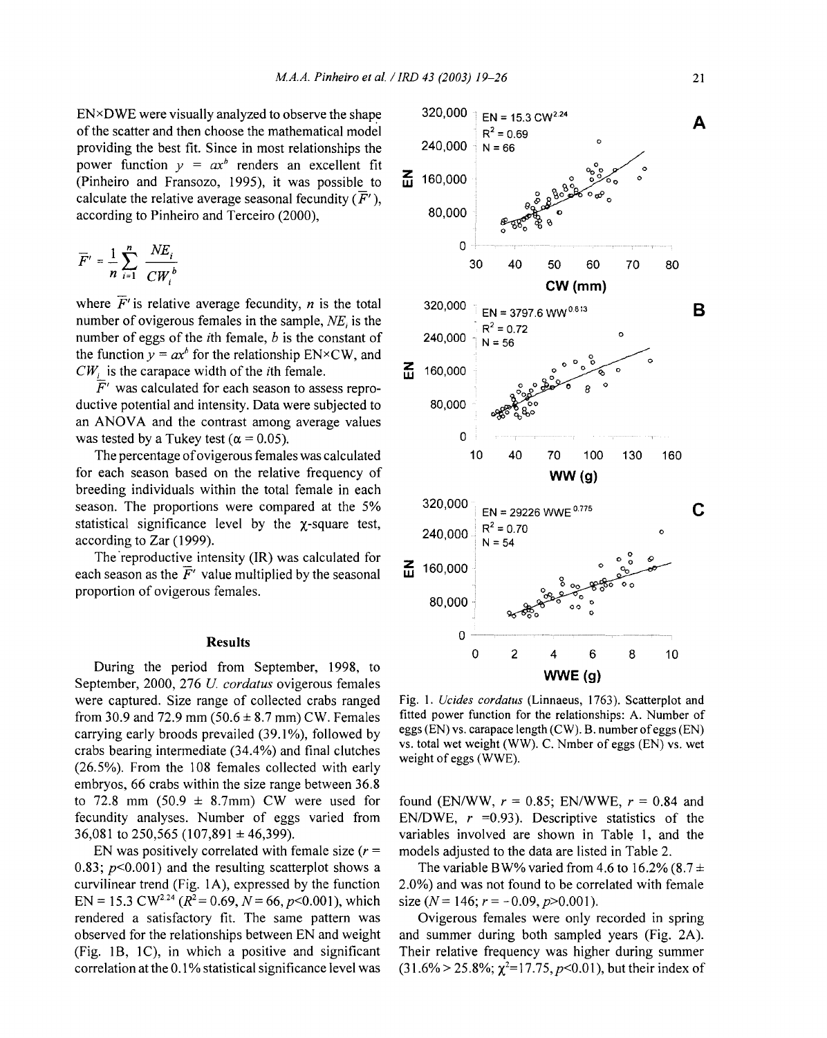EN×DWE were visually analyzed to observe the shape  $320,000$   $\equiv$  EN = 15.3 CW<sup>2.24</sup> providing the best fit. Since in most relationships the power function  $y = ax^b$  renders an excellent fit (Pinheiro and Fransozo, 1995), it was possible to calculate the relative average seasonal fecundity  $(\overline{F}^{\prime})$ ,<br>according to Pinheiro and Terceiro (2000) 80,000 according to Pinheiro and Terceiro (2000),

$$
\overline{F}' = \frac{1}{n} \sum_{i=1}^{n} \frac{NE_i}{CW_i^b}
$$

where  $\overline{F}$  is relative average fecundity, *n* is the total 320,000 EN = 3797.6 WW<sup>0.813</sup><br>number of ovigerous females in the sample, *NE*, is the number of ovigerous females in the sample,  $N_{\text{eff}}$  is the  $\frac{1}{R^2} = 0.72$  number of eggs of the *i*th female, *b* is the constant of 240,000  $\frac{1}{2}$  N = 56 the function  $y = ax^b$  for the relationship EN×CW, and  $CW_i$  is the carapace width of the *i*th female.

 $\bar{F}^\prime$  was calculated for each season to assess reproductive potential and intensity. Data were subjected to 80,000 an ANOVA and the contrast among average values was tested by a Tukey test ( $\alpha = 0.05$ ). 0

for each season based on the relative frequency of **WW(g)** breeding individuals within the total female in each statistical significance level by the  $\chi$ -square test,<br>according to Zar (1999). 240,000  $R^2 = 0.70$   $R = 54$ according to Zar (1999).

The reproductive intensity (IR) was calculated for  $\overline{Z}$  160,000 b season as the  $\overline{F}$  value multiplied by the seasonal  $\overline{M}$  160,000 each season as the  $\overline{F}'$  value multiplied by the seasonal proportion of ovigerous females.

#### **Results**

During the period from September, 1998, to September, 2000, 276 *U. cordatus* ovigerous females were captured. Size range of collected crabs ranged from 30.9 and 72.9 mm  $(50.6 \pm 8.7 \text{ mm})$  CW. Females carrying early broods prevailed (39.1%), followed by crabs bearing intermediate (34.4%) and final clutches (26.5%). From the 108 females collected with early embryos, 66 crabs within the size range between 36.8 to 72.8 mm (50.9  $\pm$  8.7mm) CW were used for fecundity analyses. Number of eggs varied from 36,081 to 250,565 (107,891  $\pm$  46,399).

EN was positively correlated with female size  $(r =$ *0.83; p<O.OOI)* and the resulting scatterplot shows a curvilinear trend (Fig. lA), expressed by the function EN = 15.3 CW<sup>2.24</sup> ( $R^2$  = 0.69,  $N$  = 66,  $p$  < 0.001), which rendered a satisfactory fit. The same pattern was observed for the relationships between EN and weight (Fig. 1B, 1C), in which a positive and significant correlation at the 0.1 % statistical significance level was



Fig. 1. *Ucides cordatus* (Linnaeus, 1763). Scatterplot and fitted power function for the relationships: A. Number of eggs (EN) vs. carapace length (CW). B. number ofeggs (EN) vs. total wet weight (WW). C. Nmber of eggs (EN) vs. wet weight of eggs (WWE).

found (EN/WW,  $r = 0.85$ ; EN/WWE,  $r = 0.84$  and EN/DWE,  $r = 0.93$ ). Descriptive statistics of the variables involved are shown in Table 1, and the models adjusted to the data are listed in Table 2.

The variable BW% varied from 4.6 to 16.2% (8.7  $\pm$ 2.0%) and was not found to be correlated with female size  $(N = 146; r = -0.09, p > 0.001)$ .

Ovigerous females were only recorded in spring and summer during both sampled years (Fig. 2A). Their relative frequency was higher during summer  $(31.6\% > 25.8\%; \chi^2 = 17.75, p < 0.01)$ , but their index of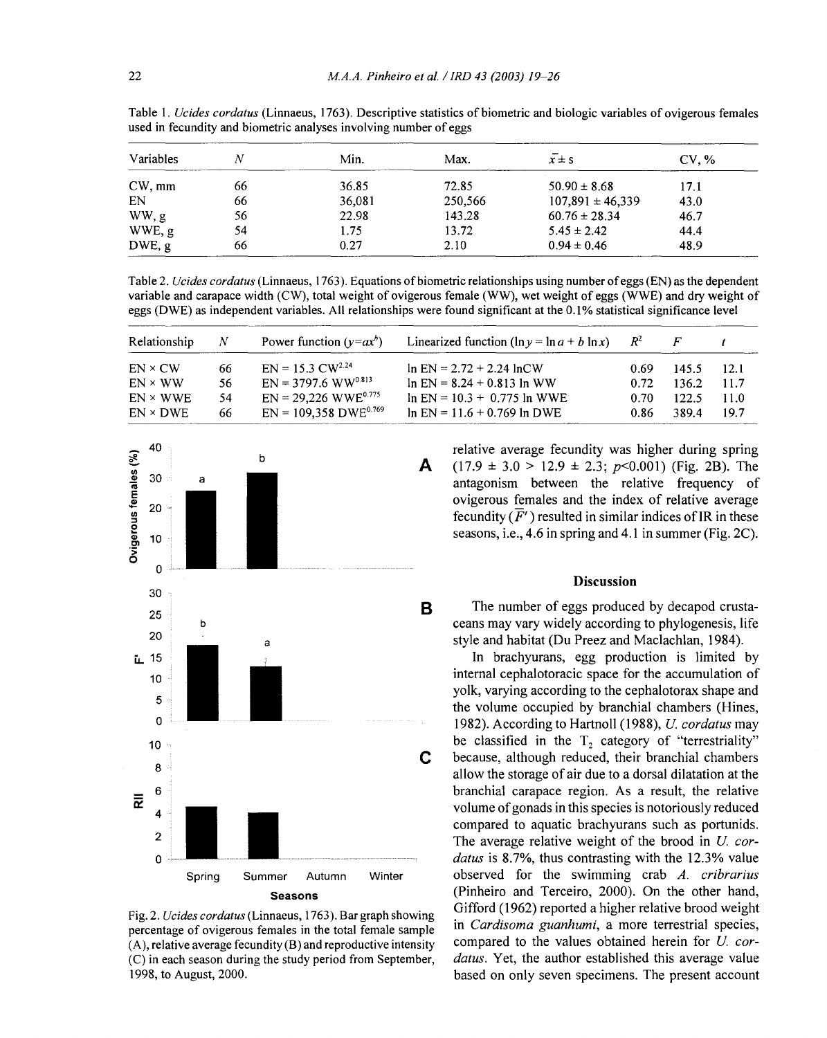| Variables       |    | Min.   | Max.    | $x \pm s$            | CV. % |  |
|-----------------|----|--------|---------|----------------------|-------|--|
| $CW, \text{mm}$ | 66 | 36.85  | 72.85   | $50.90 \pm 8.68$     | 17.1  |  |
| EN              | 66 | 36,081 | 250,566 | $107,891 \pm 46,339$ | 43.0  |  |
| WW, g           | 56 | 22.98  | 143.28  | $60.76 \pm 28.34$    | 46.7  |  |
| WWE, g          | 54 | 1.75   | 13.72   | $5.45 \pm 2.42$      | 44.4  |  |
| DWE, g          | 66 | 0.27   | 2.10    | $0.94 \pm 0.46$      | 48.9  |  |

Table 1. *Ucides cordatus* (Linnaeus, 1763). Descriptive statistics of biometric and biologic variables of ovigerous females used in fecundity and biometric analyses involving number of eggs

Table 2. *Ucides cordatus* (Linnaeus, 1763). Equations ofbiometric relationships using number ofeggs (EN) as the dependent variable and carapace width (CW), total weight of ovigerous female (WW), wet weight of eggs (WWE) and dry weight of eggs (DWE) as independent variables. All relationships were found significant at the 0.1 % statistical significance level

| Relationship    | Ν   | Power function $(y=ax^b)$          | Linearized function ( $\ln y = \ln a + b \ln x$ ) | $R^2$ |       |      |  |
|-----------------|-----|------------------------------------|---------------------------------------------------|-------|-------|------|--|
| $EN \times CW$  | 66  | $EN = 15.3$ $CW^{2.24}$            | $\ln$ EN = 2.72 + 2.24 $\ln$ CW                   | 0.69  | 145.5 | 12.1 |  |
| $EN \times WW$  | 56. | $EN = 3797.6 WW^{0.813}$           | $\ln$ EN = 8.24 + 0.813 ln WW                     | 0.72  | 136.2 | 11.7 |  |
| $EN \times WWE$ | 54  | $EN = 29,226$ WWE <sup>0.775</sup> | $\ln$ EN = 10.3 + 0.775 ln WWE                    | 0.70  | 122.5 | 11.0 |  |
| $EN \times DWE$ | 66  | $EN = 109,358 DWE^{0.769}$         | $\ln$ EN = 11.6 + 0.769 $\ln$ DWE                 | 0.86  | 389.4 | 19.7 |  |



Fig. 2. *Ucides cordatus* (Linnaeus, 1763). Bar graph showing percentage of ovigerous females in the total female sample (A), relative average fecundity (B) and reproductive intensity (C) in each season during the study period from September, 1998, to August, 2000.

relative average fecundity was higher during spring **A**  $(17.9 \pm 3.0 > 12.9 \pm 2.3; p<0.001)$  (Fig. 2B). The antagonism between the relative frequency of ovigerous females and the index of relative average fecundity  $(F')$  resulted in similar indices of IR in these seasons, i.e., 4.6 in spring and 4.1 in summer (Fig. 2C).

## Discussion

The number of eggs produced by decapod crustaceans may vary widely according to phylogenesis, life style and habitat (Ou Preez and Maclachlan, 1984).

In brachyurans, egg production is limited by internal cephalotoracic space for the accumulation of yolk, varying according to the cephalotorax shape and the volume occupied by branchial chambers (Hines, 1982). According to Hartnoll (1988), *U. cordatus* may be classified in the  $T_2$  category of "terrestriality" because, although reduced, their branchial chambers allow the storage of air due to a dorsal dilatation at the branchial carapace region. As a result, the relative volume ofgonads in this species is notoriously reduced compared to aquatic brachyurans such as portunids. The average relative weight of the brood in *U. cordatus* is 8.7%, thus contrasting with the 12.3% value observed for the swimming crab *A. cribrarius* (Pinheiro and Terceiro, 2000). On the other hand, Gifford (1962) reported a higher relative brood weight in *Cardisoma guanhumi,* a more terrestrial species, compared to the values obtained herein for *U. cordatus.* Yet, the author established this average value based on only seven specimens. The present account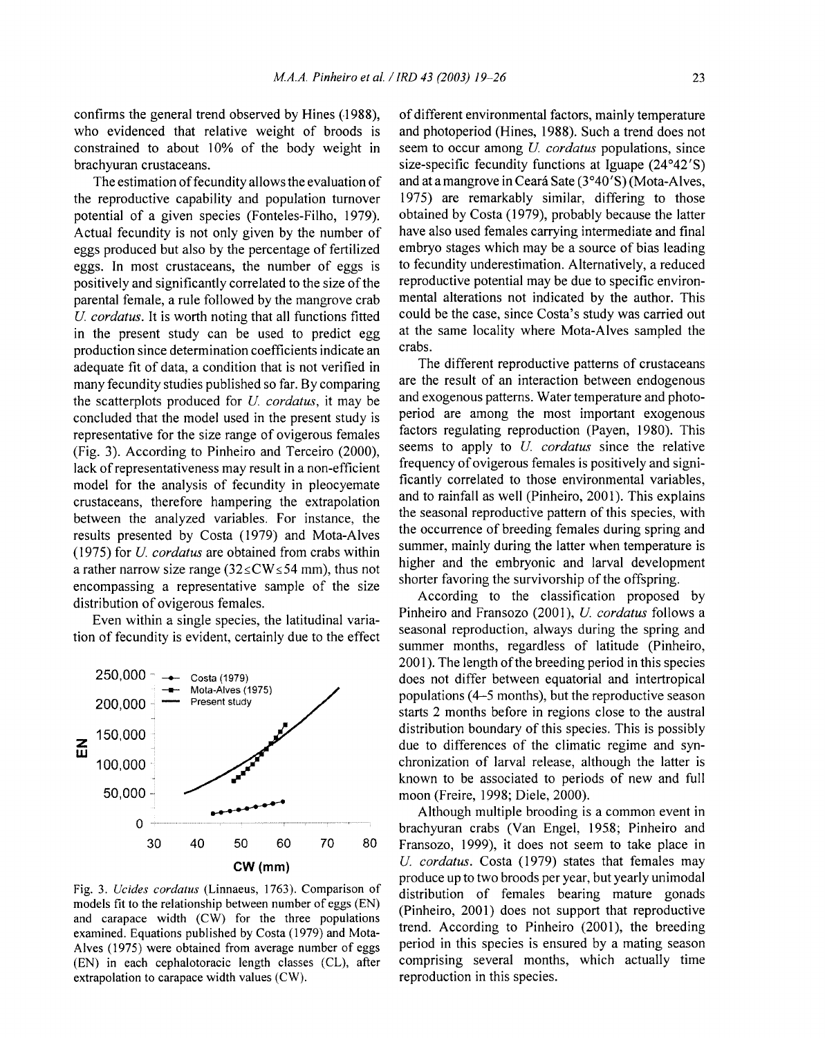confirms the general trend observed by Hines (1988), who evidenced that relative weight of broods is constrained to about 10% of the body weight in brachyuran crustaceans.

The estimation of fecundity allows the evaluation of the reproductive capability and population turnover potential of a given species (Fonteles-Filho, 1979). Actual fecundity is not only given by the number of eggs produced but also by the percentage of fertilized eggs. In most crustaceans, the number of eggs is positively and significantly correlated to the size of the parental female, a rule followed by the mangrove crab *U cordatus.* It is worth noting that all functions fitted in the present study can be used to predict egg production since determination coefficients indicate an adequate fit of data, a condition that is not verified in many fecundity studies published so far. By comparing the scatterplots produced for *U cordatus,* it may be concluded that the model used in the present study is representative for the size range of ovigerous females (Fig. 3). According to Pinheiro and Terceiro (2000), lack of representativeness may result in a non-efficient model for the analysis of fecundity in pleocyemate crustaceans, therefore hampering the extrapolation between the analyzed variables. For instance, the results presented by Costa (1979) and Mota-Alves (1975) for *U cordatus* are obtained from crabs within a rather narrow size range ( $32\leq$ CW $\leq$ 54 mm), thus not encompassing a representative sample of the size distribution of ovigerous females.

Even within a single species, the latitudinal variation of fecundity is evident, certainly due to the effect



Fig. 3. *Ucides cordatus* (Linnaeus, 1763). Comparison of models fit to the relationship between number of eggs (EN) and carapace width (CW) for the three populations examined. Equations published by Costa (1979) and Mota-Alves (1975) were obtained from average number of eggs (EN) in each cephalotoracic length classes (CL), after extrapolation to carapace width values (CW).

of different environmental factors, mainly temperature and photoperiod (Hines, 1988). Such a trend does not seem to occur among *U cordatus* populations, since size-specific fecundity functions at Iguape (24°42'S) and at a mangrove in Ceara Sate (3°40'S) (Mota-Alves, 1975) are remarkably similar, differing to those obtained by Costa (1979), probably because the latter have also used females carrying intermediate and final embryo stages which may be a source of bias leading to fecundity underestimation. Alternatively, a reduced reproductive potential may be due to specific environmental alterations not indicated by the author. This could be the case, since Costa's study was carried out at the same locality where Mota-Alves sampled the crabs.

The different reproductive patterns of crustaceans are the result of an interaction between endogenous and exogenous patterns. Water temperature and photoperiod are among the most important exogenous factors regulating reproduction (Payen, 1980). This seems to apply to *U cordatus* since the relative frequency of ovigerous females is positively and significantly correlated to those environmental variables, and to rainfall as well (Pinheiro, 2001). This explains the seasonal reproductive pattern of this species, with the occurrence of breeding females during spring and summer, mainly during the latter when temperature is higher and the embryonic and larval development shorter favoring the survivorship of the offspring.

According to the classification proposed by Pinheiro and Fransozo (2001), *U. cordatus* follows a seasonal reproduction, always during the spring and summer months, regardless of latitude (Pinheiro, 2001). The length of the breeding period in this species does not differ between equatorial and intertropical populations (4-5 months), but the reproductive season starts 2 months before in regions close to the austral distribution boundary of this species. This is possibly due to differences of the climatic regime and synchronization of larval release, although the latter is known to be associated to periods of new and full moon (Freire, 1998; Diele, 2000).

Although multiple brooding is a common event in brachyuran crabs (Van Engel, 1958; Pinheiro and Fransozo, 1999), it does not seem to take place in *U. cordatus.* Costa (1979) states that females may produce up to two broods per year, but yearly unimodal distribution of females bearing mature gonads (Pinheiro, 2001) does not support that reproductive trend. According to Pinheiro (2001), the breeding period in this species is ensured by a mating season comprising several months, which actually time reproduction in this species.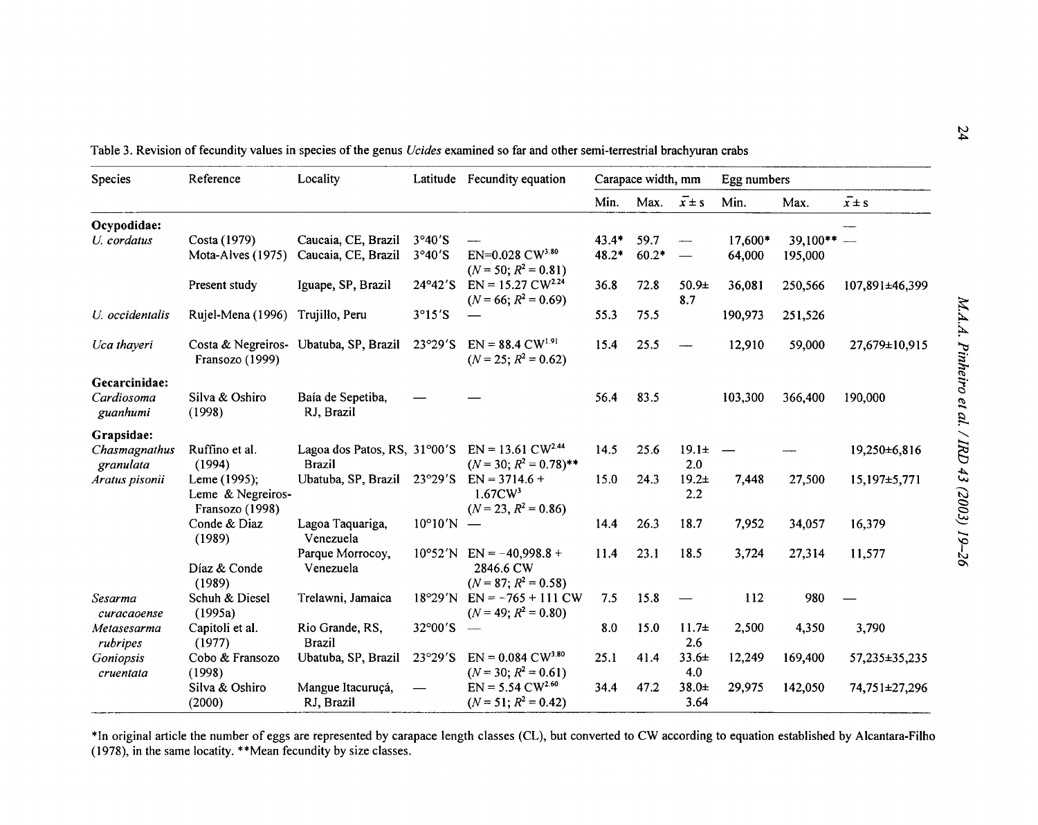| Species                    | Reference                                            | Locality                                                                    |                           | Latitude Fecundity equation                                               | Carapace width, mm |         |                          | Egg numbers              |             |                  |
|----------------------------|------------------------------------------------------|-----------------------------------------------------------------------------|---------------------------|---------------------------------------------------------------------------|--------------------|---------|--------------------------|--------------------------|-------------|------------------|
|                            |                                                      |                                                                             |                           |                                                                           | Min.               | Max.    | $\overline{x} \pm s$     | Min.                     | Max.        | $\sqrt{x} \pm s$ |
| Ocypodidae:                |                                                      |                                                                             |                           |                                                                           |                    |         |                          |                          |             |                  |
| U. cordatus                | Costa (1979)                                         | Caucaia, CE, Brazil                                                         | 3°40'S                    |                                                                           | $43.4*$            | 59.7    |                          | 17,600*                  | $39,100***$ |                  |
|                            | Mota-Alves (1975)                                    | Caucaia, CE, Brazil                                                         | 3°40'S                    | $EN=0.028$ $CW^{3.80}$<br>$(N = 50; R^2 = 0.81)$                          | $48.2*$            | $60.2*$ |                          | 64,000                   | 195,000     |                  |
|                            | Present study                                        | Iguape, SP, Brazil                                                          | $24^{\circ}42'$ S         | $EN = 15.27$ CW <sup>2.24</sup><br>$(N = 66; R^2 = 0.69)$                 | 36.8               | 72.8    | 50.9 <sub>±</sub><br>8.7 | 36,081                   | 250,566     | 107,891±46,399   |
| U. occidentalis            | Rujel-Mena (1996)                                    | Trujillo, Peru                                                              | 3°15'S                    |                                                                           | 55.3               | 75.5    |                          | 190,973                  | 251,526     |                  |
| Uca thayeri                | Fransozo (1999)                                      | Costa & Negreiros- Ubatuba, SP, Brazil                                      | 23°29'S                   | $EN = 88.4 \text{ CW}^{1.91}$<br>$(N = 25; R^2 = 0.62)$                   | 15.4               | 25.5    |                          | 12,910                   | 59,000      | 27,679±10,915    |
| Gecarcinidae:              |                                                      |                                                                             |                           |                                                                           |                    |         |                          |                          |             |                  |
| Cardiosoma<br>guanhumi     | Silva & Oshiro<br>(1998)                             | Baía de Sepetiba,<br>RJ, Brazil                                             |                           |                                                                           | 56.4               | 83.5    |                          | 103,300                  | 366,400     | 190,000          |
| Grapsidae:                 |                                                      |                                                                             |                           |                                                                           |                    |         |                          |                          |             |                  |
| Chasmagnathus<br>granulata | Ruffino et al.<br>(1994)                             | Lagoa dos Patos, RS, 31°00′S EN = 13.61 CW <sup>2.44</sup><br><b>Brazil</b> |                           | $(N = 30; R^2 = 0.78)$ **                                                 | 14.5               | 25.6    | $19.1 \pm$<br>2.0        | $\overline{\phantom{a}}$ |             | 19,250±6,816     |
| Aratus pisonii             | Leme (1995);<br>Leme & Negreiros-<br>Fransozo (1998) | Ubatuba, SP, Brazil                                                         | $23°29'$ S                | $EN = 3714.6 +$<br>$1.67$ CW <sup>3</sup><br>$(N = 23, R^2 = 0.86)$       | 15.0               | 24.3    | $19.2 +$<br>2.2          | 7,448                    | 27,500      | 15,197±5,771     |
|                            | Conde & Diaz<br>(1989)                               | Lagoa Taquariga,<br>Venezuela                                               | $10^{\circ}10'$ N –       |                                                                           | 14.4               | 26.3    | 18.7                     | 7,952                    | 34,057      | 16,379           |
|                            | Díaz & Conde<br>(1989)                               | Parque Morrocoy,<br>Venezuela                                               |                           | $10^{\circ}52'$ N EN = -40,998.8 +<br>2846.6 CW<br>$(N = 87; R^2 = 0.58)$ | 11.4               | 23.1    | 18.5                     | 3,724                    | 27,314      | 11,577           |
| Sesarma<br>curacaoense     | Schuh & Diesel<br>(1995a)                            | Trelawni, Jamaica                                                           | $18^{\circ}29'$ N         | $EN = -765 + 111$ CW<br>$(N = 49; R^2 = 0.80)$                            | 7.5                | 15.8    |                          | 112                      | 980         |                  |
| Metasesarma<br>rubripes    | Capitoli et al.<br>(1977)                            | Rio Grande, RS,<br><b>Brazil</b>                                            | $32^{\circ}00^{\prime}$ S |                                                                           | 8.0                | 15.0    | $11.7\pm$<br>2.6         | 2,500                    | 4,350       | 3,790            |
| Goniopsis<br>cruentata     | Cobo & Fransozo<br>(1998)                            | Ubatuba, SP, Brazil                                                         | 23°29'S                   | $EN = 0.084 \text{ CW}^{3.80}$<br>$(N = 30; R^2 = 0.61)$                  | 25.1               | 41.4    | $33.6+$<br>4.0           | 12,249                   | 169,400     | 57,235±35,235    |
|                            | Silva & Oshiro<br>(2000)                             | Mangue Itacuruçá,<br>RJ, Brazil                                             |                           | $EN = 5.54$ CW <sup>2.60</sup><br>$(N = 51; R^2 = 0.42)$                  | 34.4               | 47.2    | 38.0±<br>3.64            | 29,975                   | 142,050     | 74,751±27,296    |

Table 3. Revision of fecundity values in species of the genus *Ucides* examined so far and other semi-terrestrial brachyuran crabs

\*In original article the number of eggs are represented by carapace length classes (CL), but converted to CW according to equation established by Alcantara-Filho (1978), in the same locatity. \*\*Mean fecundity by size classes.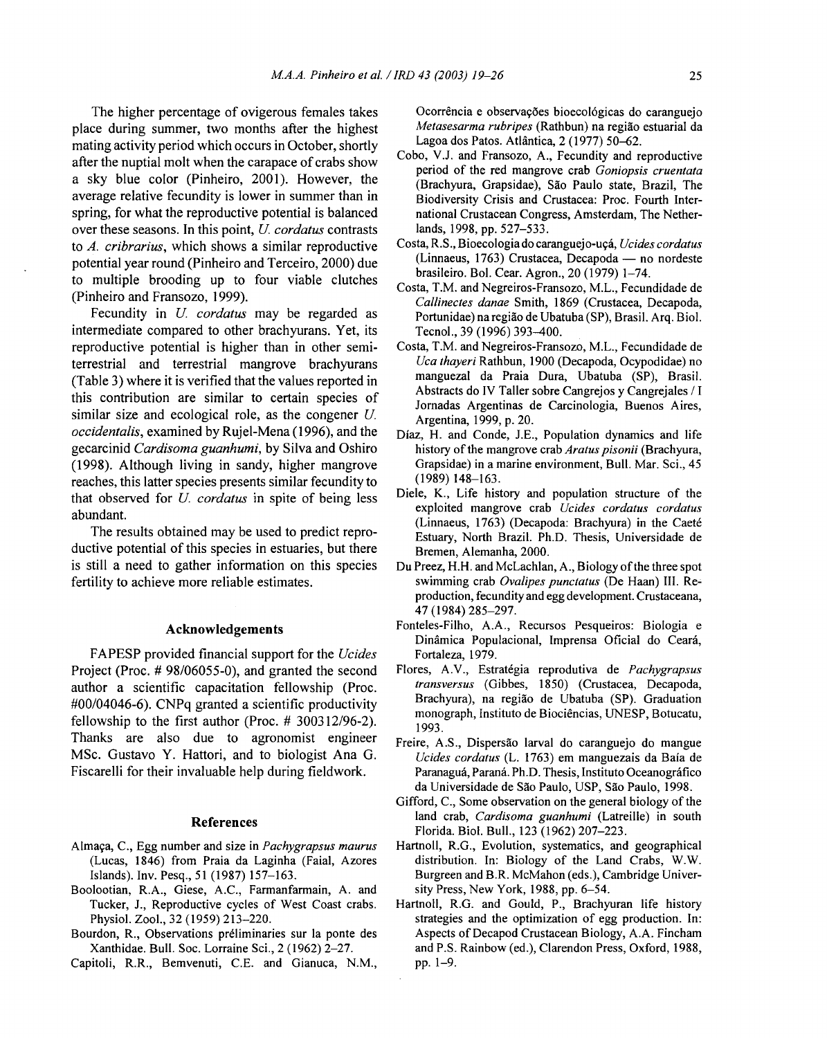The higher percentage of ovigerous females takes place during summer, two months after the highest mating activity period which occurs in October, shortly after the nuptial molt when the carapace of crabs show a sky blue color (Pinheiro, 2001). However, the average relative fecundity is lower in summer than in spring, for what the reproductive potential is balanced over these seasons. **In** this point, *U cordatus* contrasts to *A. cribrarius,* which shows a similar reproductive potential year round (Pinheiro and Terceiro, 2000) due to multiple brooding up to four viable clutches (Pinheiro and Fransozo, 1999).

Fecundity in *U cordatus* may be regarded as intermediate compared to other brachyurans. Yet, its reproductive potential is higher than in other semiterrestrial and terrestrial mangrove brachyurans (Table 3) where it is verified that the values reported in this contribution are similar to certain species of similar size and ecological role, as the congener  $U$ . *occidentalis,* examined by Rujel-Mena (1996), and the gecarcinid *Cardisoma guanhumi,* by Silva and Oshiro (1998). Although living in sandy, higher mangrove reaches, this latter species presents similar fecundity to that observed for *U cordatus* in spite of being less abundant.

The results obtained may be used to predict reproductive potential of this species in estuaries, but there is still a need to gather information on this species fertility to achieve more reliable estimates.

#### **Acknowledgements**

FAPESP provided financial support for the *Ucides* Project (Proc. # 98/06055-0), and granted the second author a scientific capacitation fellowship (Proc. #00/04046-6). CNPq granted a scientific productivity fellowship to the first author (Proc. # 300312/96-2). Thanks are also due to agronomist engineer MSc. Gustavo Y. Hattori, and to biologist Ana G. Fiscarelli for their invaluable help during fieldwork.

#### **References**

- Almaça, C., Egg number and size in *Pachygrapsus maurus* (Lucas, 1846) from Praia da Laginha (Faial, Azores Islands). Inv. Pesq., 51 (1987) 157-163.
- Boolootian, R.A., Giese, A.C., Farmanfarmain, A. and Tucker, J., Reproductive cycles of West Coast crabs. Physiol. Zool., 32 (1959) 213-220.
- Bourdon, R., Observations preliminaries sur la ponte des Xanthidae. Bull. Soc. Lorraine Sci., 2 (1962) 2-27.
- Capitoli, R.R., Bemvenuti, C.E. and Gianuca, N.M.,

Ocorrência e observações bioecológicas do caranguejo *Metasesarma rubripes* (Rathbun) na regiao estuarial da Lagoa dos Patos. Atlantica, 2 (1977) 50-62.

- Cobo, V.J. and Fransozo, A., Fecundity and reproductive period of the red mangrove crab *Goniopsis cruentata* (Brachyura, Grapsidae), Sao Paulo state, Brazil, The Biodiversity Crisis and Crustacea: Proc. Fourth International Crustacean Congress, Amsterdam, The Netherlands, 1998, pp. 527-533.
- Costa, R.S., Bioecologiado caranguejo-u9a, *Ucides cordatus* (Linnaeus, 1763) Crustacea, Decapoda — no nordeste brasileiro. Bol. Cear. Agron., 20 (1979) 1-74.
- Costa, T.M. and Negreiros-Fransozo, M.L., Fecundidade de *Callinectes danae* Smith, 1869 (Crustacea, Decapoda, Portunidae) naregiao de Ubatuba(SP), Brasil. Arq. BioI. Tecnol., 39 (1996) 393-400.
- Costa, T.M. and Negreiros-Fransozo, M.L., Fecundidade de *Uca thayeri* Rathbun, 1900 (Decapoda, Ocypodidae) no manguezal da Praia Dura, Ubatuba (SP), Brasil. Abstracts do IV Taller sobre Cangrejos y Cangrejales / I Jornadas Argentinas de Carcinologia, Buenos Aires, Argentina, 1999, p. 20.
- Diaz, H. and Conde, J.E., Population dynamics and life history of the mangrove crab *Aratus pisonii* (Brachyura, Grapsidae) in a marine environment, Bull. Mar. Sci., 45 (1989) 148-163.
- Diele, K., Life history and population structure of the exploited mangrove crab *Ucides cordatus cordatus* (Linnaeus, 1763) (Decapoda: Brachyura) in the Caete Estuary, North Brazil. Ph.D. Thesis, Universidade de Bremen, Alemanha, 2000.
- Du Preez, H.H. and McLachlan, A., Biology of the three spot swimming crab *Ovalipes punctatus* (De Haan) III. Reproduction, fecundity and egg development. Crustaceana, 47 (1984) 285-297.
- Fonteles-Filho, A.A., Recursos Pesqueiros: Biologia e Dinamica Populacional, Imprensa Oficial do Ceara, Fortaleza, 1979.
- Flores, A.V., Estrategia reprodutiva de *Pachygrapsus transversus* (Gibbes, 1850) (Crustacea, Decapoda, Brachyura), na regiao de Ubatuba (SP). Graduation monograph, Instituto de Biociencias, UNESP, Botucatu, 1993.
- Freire, A.S., Dispersao larval do caranguejo do mangue *Ucides cordatus* (L. 1763) em manguezais da Baia de Paranaguá, Paraná, Ph.D. Thesis, Instituto Oceanográfico da Universidade de Sao Paulo, USP, Sao Paulo, 1998.
- Gifford, C., Some observation on the general biology of the land crab, *Cardisoma guanhumi* (Latreille) in south Florida. BioI. Bull., 123 (1962) 207-223.
- Hartnoll, R.G., Evolution, systematics, and geographical distribution. In: Biology of the Land Crabs, W.W. Burgreen and B.R. McMahon (eds.), Cambridge University Press, New York, 1988, pp. 6-54.
- Hartnoll, R.G. and Gould, P., Brachyuran life history strategies and the optimization of egg production. In: Aspects of Decapod Crustacean Biology, A.A. Fincham and P.S. Rainbow (ed.), Clarendon Press, Oxford, 1988, pp. 1-9.